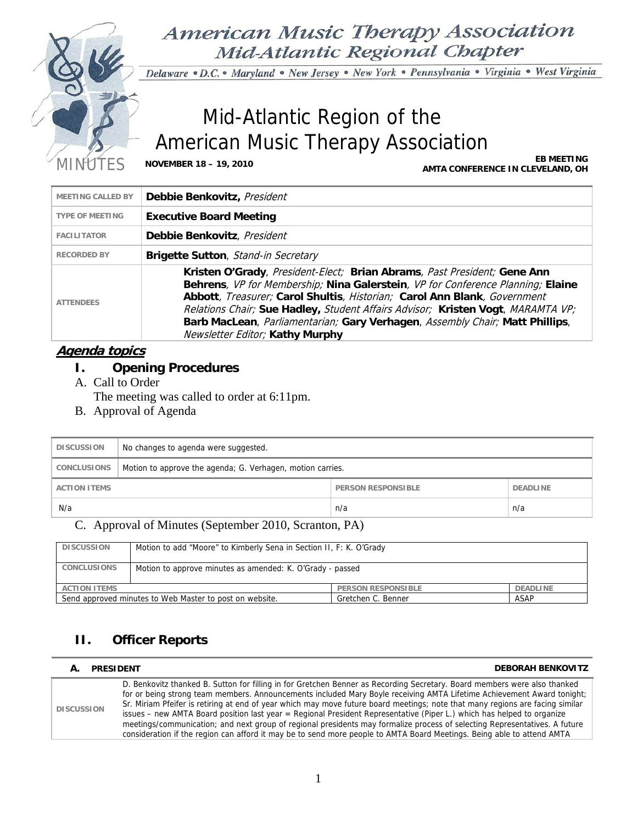

American Music Therapy Association Mid-Atlantic Regional Chapter

Delaware · D.C. · Maryland · New Jersey · New York · Pennsylvania · Virginia · West Virginia

# Mid-Atlantic Region of the American Music Therapy Association

MINUTES **NOVEMBER 18 – 19, 2010 EB MEETING AMTA CONFERENCE IN CLEVELAND, OH**

| <b>MEETING CALLED BY</b> | Debbie Benkovitz, President                                                                                                                                                                                                                                                                                                                                                                                                                          |
|--------------------------|------------------------------------------------------------------------------------------------------------------------------------------------------------------------------------------------------------------------------------------------------------------------------------------------------------------------------------------------------------------------------------------------------------------------------------------------------|
| <b>TYPE OF MEETING</b>   | <b>Executive Board Meeting</b>                                                                                                                                                                                                                                                                                                                                                                                                                       |
| <b>FACILITATOR</b>       | Debbie Benkovitz, President                                                                                                                                                                                                                                                                                                                                                                                                                          |
| <b>RECORDED BY</b>       | <b>Brigette Sutton, Stand-in Secretary</b>                                                                                                                                                                                                                                                                                                                                                                                                           |
| <b>ATTENDEES</b>         | Kristen O'Grady, President-Elect; Brian Abrams, Past President; Gene Ann<br>Behrens, VP for Membership; Nina Galerstein, VP for Conference Planning; Elaine<br>Abbott, Treasurer; Carol Shultis, Historian; Carol Ann Blank, Government<br>Relations Chair; Sue Hadley, Student Affairs Advisor; Kristen Vogt, MARAMTA VP;<br>Barb MacLean, Parliamentarian; Gary Verhagen, Assembly Chair; Matt Phillips,<br><b>Newsletter Editor; Kathy Murphy</b> |

## **Agenda topics**

- **I. Opening Procedures**
- A. Call to Order

The meeting was called to order at 6:11pm.

B. Approval of Agenda

| <b>DISCUSSION</b>   | No changes to agenda were suggested.                       |     |     |
|---------------------|------------------------------------------------------------|-----|-----|
| <b>CONCLUSIONS</b>  | Motion to approve the agenda; G. Verhagen, motion carries. |     |     |
| <b>ACTION ITEMS</b> | <b>PERSON RESPONSIBLE</b><br><b>DEADLINE</b>               |     |     |
| N/a                 |                                                            | n/a | n/a |

## C. Approval of Minutes (September 2010, Scranton, PA)

| <b>DISCUSSION</b>                                                                            | Motion to add "Moore" to Kimberly Sena in Section II, F: K. O'Grady |  |  |
|----------------------------------------------------------------------------------------------|---------------------------------------------------------------------|--|--|
| <b>CONCLUSIONS</b>                                                                           | Motion to approve minutes as amended: K. O'Grady - passed           |  |  |
| <b>PERSON RESPONSIBLE</b><br><b>DEADLINE</b><br><b>ACTION ITEMS</b>                          |                                                                     |  |  |
| Send approved minutes to Web Master to post on website.<br><b>ASAP</b><br>Gretchen C. Benner |                                                                     |  |  |

## **II. Officer Reports**

| А.                | <b>PRESIDENT</b>                                                                                                                                                                                                                                                                                                                                                                                                                                                                                                                                                                                                                                                                                                                                                       | <b>DEBORAH BENKOVITZ</b> |
|-------------------|------------------------------------------------------------------------------------------------------------------------------------------------------------------------------------------------------------------------------------------------------------------------------------------------------------------------------------------------------------------------------------------------------------------------------------------------------------------------------------------------------------------------------------------------------------------------------------------------------------------------------------------------------------------------------------------------------------------------------------------------------------------------|--------------------------|
| <b>DISCUSSION</b> | D. Benkovitz thanked B. Sutton for filling in for Gretchen Benner as Recording Secretary. Board members were also thanked<br>for or being strong team members. Announcements included Mary Boyle receiving AMTA Lifetime Achievement Award tonight;<br>Sr. Miriam Pfeifer is retiring at end of year which may move future board meetings; note that many regions are facing similar<br>issues – new AMTA Board position last year = Regional President Representative (Piper L.) which has helped to organize<br>meetings/communication; and next group of regional presidents may formalize process of selecting Representatives. A future<br>consideration if the region can afford it may be to send more people to AMTA Board Meetings. Being able to attend AMTA |                          |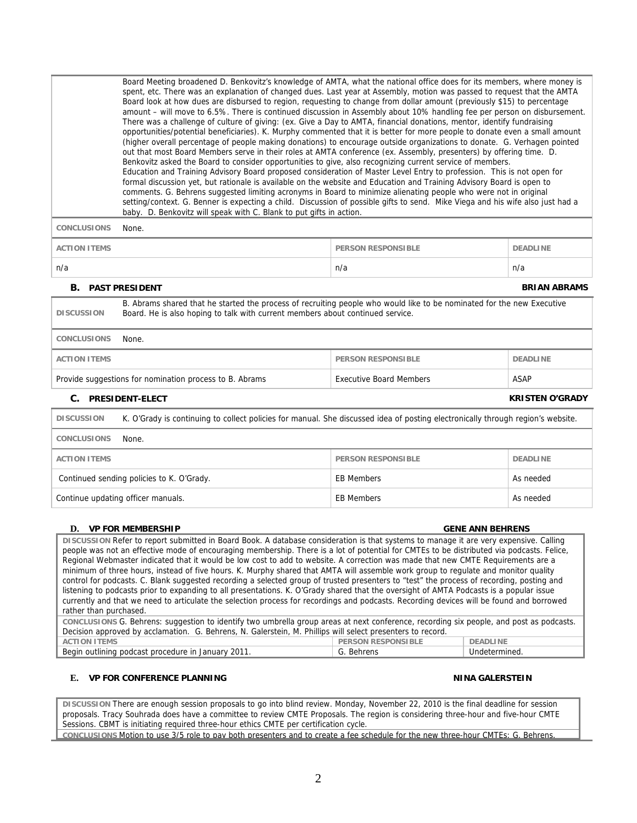|                                                                                                                                                                                                                               | spent, etc. There was an explanation of changed dues. Last year at Assembly, motion was passed to request that the AMTA<br>Board look at how dues are disbursed to region, requesting to change from dollar amount (previously \$15) to percentage<br>amount - will move to 6.5%. There is continued discussion in Assembly about 10% handling fee per person on disbursement.<br>There was a challenge of culture of giving: (ex. Give a Day to AMTA, financial donations, mentor, identify fundraising<br>opportunities/potential beneficiaries). K. Murphy commented that it is better for more people to donate even a small amount<br>(higher overall percentage of people making donations) to encourage outside organizations to donate. G. Verhagen pointed<br>out that most Board Members serve in their roles at AMTA conference (ex. Assembly, presenters) by offering time. D.<br>Benkovitz asked the Board to consider opportunities to give, also recognizing current service of members.<br>Education and Training Advisory Board proposed consideration of Master Level Entry to profession. This is not open for<br>formal discussion yet, but rationale is available on the website and Education and Training Advisory Board is open to<br>comments. G. Behrens suggested limiting acronyms in Board to minimize alienating people who were not in original<br>setting/context. G. Benner is expecting a child. Discussion of possible gifts to send. Mike Viega and his wife also just had a<br>baby. D. Benkovitz will speak with C. Blank to put gifts in action. |                                |                 |  |
|-------------------------------------------------------------------------------------------------------------------------------------------------------------------------------------------------------------------------------|-----------------------------------------------------------------------------------------------------------------------------------------------------------------------------------------------------------------------------------------------------------------------------------------------------------------------------------------------------------------------------------------------------------------------------------------------------------------------------------------------------------------------------------------------------------------------------------------------------------------------------------------------------------------------------------------------------------------------------------------------------------------------------------------------------------------------------------------------------------------------------------------------------------------------------------------------------------------------------------------------------------------------------------------------------------------------------------------------------------------------------------------------------------------------------------------------------------------------------------------------------------------------------------------------------------------------------------------------------------------------------------------------------------------------------------------------------------------------------------------------------------------------------------------------------------------------------------------|--------------------------------|-----------------|--|
| <b>CONCLUSIONS</b>                                                                                                                                                                                                            | None.                                                                                                                                                                                                                                                                                                                                                                                                                                                                                                                                                                                                                                                                                                                                                                                                                                                                                                                                                                                                                                                                                                                                                                                                                                                                                                                                                                                                                                                                                                                                                                                   |                                |                 |  |
| <b>ACTION ITEMS</b>                                                                                                                                                                                                           |                                                                                                                                                                                                                                                                                                                                                                                                                                                                                                                                                                                                                                                                                                                                                                                                                                                                                                                                                                                                                                                                                                                                                                                                                                                                                                                                                                                                                                                                                                                                                                                         | <b>PERSON RESPONSIBLE</b>      | <b>DEADLINE</b> |  |
| n/a                                                                                                                                                                                                                           |                                                                                                                                                                                                                                                                                                                                                                                                                                                                                                                                                                                                                                                                                                                                                                                                                                                                                                                                                                                                                                                                                                                                                                                                                                                                                                                                                                                                                                                                                                                                                                                         | n/a                            | n/a             |  |
| <b>BRIAN ABRAMS</b><br><b>B. PAST PRESIDENT</b>                                                                                                                                                                               |                                                                                                                                                                                                                                                                                                                                                                                                                                                                                                                                                                                                                                                                                                                                                                                                                                                                                                                                                                                                                                                                                                                                                                                                                                                                                                                                                                                                                                                                                                                                                                                         |                                |                 |  |
| B. Abrams shared that he started the process of recruiting people who would like to be nominated for the new Executive<br>Board. He is also hoping to talk with current members about continued service.<br><b>DISCUSSION</b> |                                                                                                                                                                                                                                                                                                                                                                                                                                                                                                                                                                                                                                                                                                                                                                                                                                                                                                                                                                                                                                                                                                                                                                                                                                                                                                                                                                                                                                                                                                                                                                                         |                                |                 |  |
| <b>CONCLUSIONS</b>                                                                                                                                                                                                            | None.                                                                                                                                                                                                                                                                                                                                                                                                                                                                                                                                                                                                                                                                                                                                                                                                                                                                                                                                                                                                                                                                                                                                                                                                                                                                                                                                                                                                                                                                                                                                                                                   |                                |                 |  |
| <b>ACTION ITEMS</b>                                                                                                                                                                                                           |                                                                                                                                                                                                                                                                                                                                                                                                                                                                                                                                                                                                                                                                                                                                                                                                                                                                                                                                                                                                                                                                                                                                                                                                                                                                                                                                                                                                                                                                                                                                                                                         | <b>PERSON RESPONSIBLE</b>      | <b>DEADLINE</b> |  |
|                                                                                                                                                                                                                               | Provide suggestions for nomination process to B. Abrams                                                                                                                                                                                                                                                                                                                                                                                                                                                                                                                                                                                                                                                                                                                                                                                                                                                                                                                                                                                                                                                                                                                                                                                                                                                                                                                                                                                                                                                                                                                                 | <b>Executive Board Members</b> | <b>ASAP</b>     |  |
| <b>KRISTEN O'GRADY</b><br>C. PRESIDENT-ELECT                                                                                                                                                                                  |                                                                                                                                                                                                                                                                                                                                                                                                                                                                                                                                                                                                                                                                                                                                                                                                                                                                                                                                                                                                                                                                                                                                                                                                                                                                                                                                                                                                                                                                                                                                                                                         |                                |                 |  |
| <b>DISCUSSION</b>                                                                                                                                                                                                             | K. O'Grady is continuing to collect policies for manual. She discussed idea of posting electronically through region's website.                                                                                                                                                                                                                                                                                                                                                                                                                                                                                                                                                                                                                                                                                                                                                                                                                                                                                                                                                                                                                                                                                                                                                                                                                                                                                                                                                                                                                                                         |                                |                 |  |
| <b>CONCLUSIONS</b>                                                                                                                                                                                                            | None.                                                                                                                                                                                                                                                                                                                                                                                                                                                                                                                                                                                                                                                                                                                                                                                                                                                                                                                                                                                                                                                                                                                                                                                                                                                                                                                                                                                                                                                                                                                                                                                   |                                |                 |  |
| <b>ACTION ITEMS</b>                                                                                                                                                                                                           |                                                                                                                                                                                                                                                                                                                                                                                                                                                                                                                                                                                                                                                                                                                                                                                                                                                                                                                                                                                                                                                                                                                                                                                                                                                                                                                                                                                                                                                                                                                                                                                         | <b>PERSON RESPONSIBLE</b>      | DEADLINE        |  |

Board Meeting broadened D. Benkovitz's knowledge of AMTA, what the national office does for its members, where money is

| <b>ACTION ITEMS</b>                       | <b>PERSON RESPONSIBLE</b> | DEADLINE  |
|-------------------------------------------|---------------------------|-----------|
| Continued sending policies to K. O'Grady. | EB Members                | As needed |
| Continue updating officer manuals.        | EB Members                | As needed |

### **D. VP FOR MEMBERSHIP GENE ANN BEHRENS**

**DISCUSSION** Refer to report submitted in Board Book. A database consideration is that systems to manage it are very expensive. Calling people was not an effective mode of encouraging membership. There is a lot of potential for CMTEs to be distributed via podcasts. Felice, Regional Webmaster indicated that it would be low cost to add to website. A correction was made that new CMTE Requirements are a minimum of three hours, instead of five hours. K. Murphy shared that AMTA will assemble work group to regulate and monitor quality control for podcasts. C. Blank suggested recording a selected group of trusted presenters to "test" the process of recording, posting and listening to podcasts prior to expanding to all presentations. K. O'Grady shared that the oversight of AMTA Podcasts is a popular issue currently and that we need to articulate the selection process for recordings and podcasts. Recording devices will be found and borrowed rather than purchased. **CONCLUSIONS**<br>The suggestion to identify two umbrella group are

| CONCLUSTONS G. Behrens: suggestion to identify two umbrella group areas at next conference, recording six people, and post as podcasts. |  |  |  |  |
|-----------------------------------------------------------------------------------------------------------------------------------------|--|--|--|--|
| Decision approved by acclamation. G. Behrens, N. Galerstein, M. Phillips will select presenters to record.                              |  |  |  |  |
| <b>PERSON RESPONSIBLE</b><br><b>DEADLINE</b><br>ACTION ITEMS                                                                            |  |  |  |  |
| Begin outlining podcast procedure in January 2011.<br>G. Behrens<br>Undetermined.                                                       |  |  |  |  |

## **E. VP FOR CONFERENCE PLANNING NINA GALERSTEIN**

**DISCUSSION** There are enough session proposals to go into blind review. Monday, November 22, 2010 is the final deadline for session proposals. Tracy Souhrada does have a committee to review CMTE Proposals. The region is considering three-hour and five-hour CMTE Sessions. CBMT is initiating required three-hour ethics CMTE per certification cycle.

**CONCLUSIONS** Motion to use 3/5 role to pay both presenters and to create a fee schedule for the new three-hour CMTEs; G. Behrens.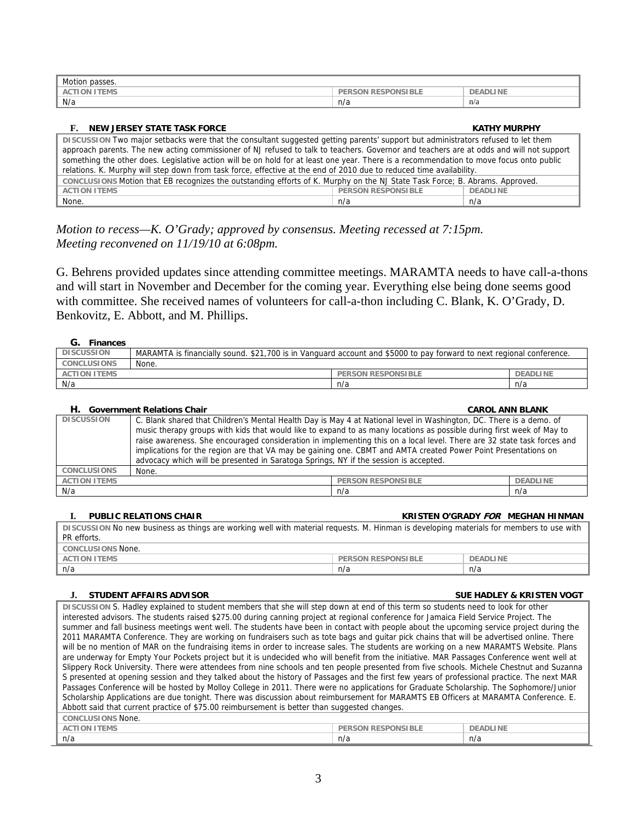| Motion passes.      |                    |                 |
|---------------------|--------------------|-----------------|
| <b>ACTION ITEMS</b> | PERSON RESPONSIBLE | <b>DEADLINE</b> |
| N/a                 | n/a                | n/a             |

| NEW JERSEY STATE TASK FORCE<br>F.                                                                                                                                                                                                                                           |     | <b>KATHY MURPHY</b> |  |
|-----------------------------------------------------------------------------------------------------------------------------------------------------------------------------------------------------------------------------------------------------------------------------|-----|---------------------|--|
| DISCUSSION Two major setbacks were that the consultant suggested getting parents' support but administrators refused to let them<br>approach parents. The new acting commissioner of NJ refused to talk to teachers. Governor and teachers are at odds and will not support |     |                     |  |
| something the other does. Legislative action will be on hold for at least one year. There is a recommendation to move focus onto public<br>relations. K. Murphy will step down from task force, effective at the end of 2010 due to reduced time availability.              |     |                     |  |
| conclusions Motion that EB recognizes the outstanding efforts of K. Murphy on the NJ State Task Force; B. Abrams. Approved.                                                                                                                                                 |     |                     |  |
| <b>ACTION ITEMS</b><br><b>PERSON RESPONSIBLE</b><br><b>DEADLINE</b>                                                                                                                                                                                                         |     |                     |  |
| None.                                                                                                                                                                                                                                                                       | n/a | n/a                 |  |

*Motion to recess—K. O'Grady; approved by consensus. Meeting recessed at 7:15pm. Meeting reconvened on 11/19/10 at 6:08pm.* 

G. Behrens provided updates since attending committee meetings. MARAMTA needs to have call-a-thons and will start in November and December for the coming year. Everything else being done seems good with committee. She received names of volunteers for call-a-thon including C. Blank, K. O'Grady, D. Benkovitz, E. Abbott, and M. Phillips.

### **G. Finances**

| <b>DISCUSSION</b>                                                   | MARAMTA is financially sound. \$21,700 is in Vanguard account and \$5000 to pay forward to next regional conference. |     |     |
|---------------------------------------------------------------------|----------------------------------------------------------------------------------------------------------------------|-----|-----|
| <b>CONCLUSIONS</b>                                                  | None.                                                                                                                |     |     |
| <b>ACTION ITEMS</b><br><b>PERSON RESPONSIBLE</b><br><b>DEADLINE</b> |                                                                                                                      |     |     |
| N/a                                                                 |                                                                                                                      | n/a | n/a |

#### **H.** Government Relations Chair Chair CAROL ANN BLANK **CAROL ANN BLANK**

| <b>DISCUSSION</b>   | C. Blank shared that Children's Mental Health Day is May 4 at National level in Washington, DC. There is a demo. of<br>music therapy groups with kids that would like to expand to as many locations as possible during first week of May to<br>raise awareness. She encouraged consideration in implementing this on a local level. There are 32 state task forces and<br>implications for the region are that VA may be gaining one. CBMT and AMTA created Power Point Presentations on<br>advocacy which will be presented in Saratoga Springs, NY if the session is accepted. |  |  |  |
|---------------------|-----------------------------------------------------------------------------------------------------------------------------------------------------------------------------------------------------------------------------------------------------------------------------------------------------------------------------------------------------------------------------------------------------------------------------------------------------------------------------------------------------------------------------------------------------------------------------------|--|--|--|
| <b>CONCLUSIONS</b>  | None.                                                                                                                                                                                                                                                                                                                                                                                                                                                                                                                                                                             |  |  |  |
| <b>ACTION ITEMS</b> | <b>PERSON RESPONSIBLE</b><br><b>DEADLINE</b>                                                                                                                                                                                                                                                                                                                                                                                                                                                                                                                                      |  |  |  |
| N/a                 | n/a<br>n/a                                                                                                                                                                                                                                                                                                                                                                                                                                                                                                                                                                        |  |  |  |

| DISCUSSION No new business as things are working well with material requests. M. Hinman is developing materials for members to use with<br>PR efforts. |     |     |  |  |
|--------------------------------------------------------------------------------------------------------------------------------------------------------|-----|-----|--|--|
| <b>CONCLUSIONS None.</b>                                                                                                                               |     |     |  |  |
| <b>ACTION ITEMS</b><br><b>PERSON RESPONSIBLE</b><br>DEADLINE                                                                                           |     |     |  |  |
| n/a                                                                                                                                                    | n/a | n/a |  |  |

### **J. STUDENT AFFAIRS ADVISOR SUE HADLEY & KRISTEN VOGT**

**DISCUSSION** S. Hadley explained to student members that she will step down at end of this term so students need to look for other interested advisors. The students raised \$275.00 during canning project at regional conference for Jamaica Field Service Project. The summer and fall business meetings went well. The students have been in contact with people about the upcoming service project during the 2011 MARAMTA Conference. They are working on fundraisers such as tote bags and guitar pick chains that will be advertised online. There will be no mention of MAR on the fundraising items in order to increase sales. The students are working on a new MARAMTS Website. Plans are underway for Empty Your Pockets project but it is undecided who will benefit from the initiative. MAR Passages Conference went well at Slippery Rock University. There were attendees from nine schools and ten people presented from five schools. Michele Chestnut and Suzanna S presented at opening session and they talked about the history of Passages and the first few years of professional practice. The next MAR Passages Conference will be hosted by Molloy College in 2011. There were no applications for Graduate Scholarship. The Sophomore/Junior Scholarship Applications are due tonight. There was discussion about reimbursement for MARAMTS EB Officers at MARAMTA Conference. E. Abbott said that current practice of \$75.00 reimbursement is better than suggested changes. **CONCLUSIONS** None.

| <u>oonidedondisd nond.</u>  |                              |                 |
|-----------------------------|------------------------------|-----------------|
| <b>ITEMS</b><br>ACT<br>'ION | <b>RESPONSIBLE</b><br>PERSON | <b>DEADLINE</b> |
| n/a                         | n/a                          | n/a             |
|                             |                              |                 |

#### **I. PUBLIC RELATIONS CHAIR KRISTEN O'GRADY FOR MEGHAN HINMAN**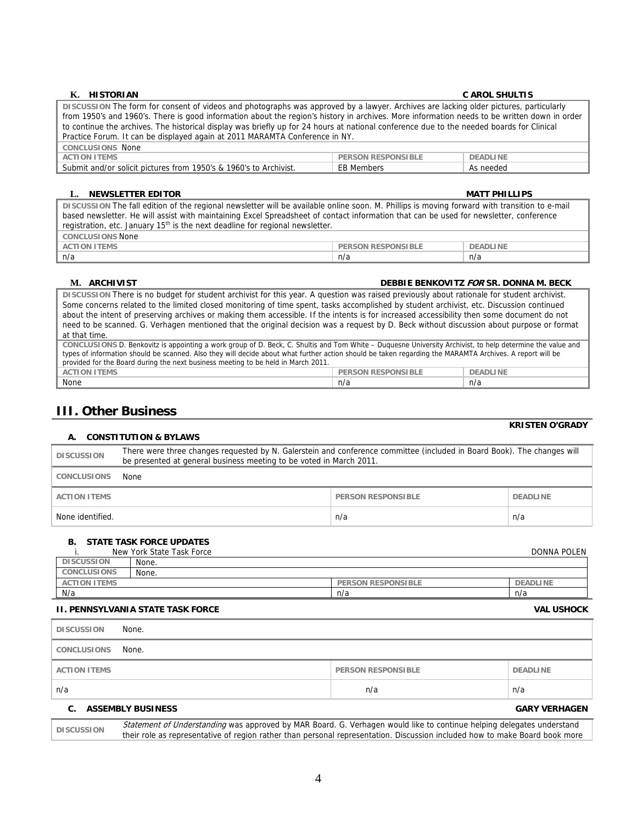#### **K. HISTORIAN C AROL SHULTIS**

#### **DISCUSSION** The form for consent of videos and photographs was approved by a lawyer. Archives are lacking older pictures, particularly from 1950's and 1960's. There is good information about the region's history in archives. More information needs to be written down in order to continue the archives. The historical display was briefly up for 24 hours at national conference due to the needed boards for Clinical Practice Forum. It can be displayed again at 2011 MARAMTA Conference in NY. **CONCLUSIONS** None **ACTION ITEMS PERSON RESPONSIBLE DEADLINE** Submit and/or solicit pictures from 1950's & 1960's to Archivist. EB Members As needed

### **L. NEWSLETTER EDITOR MATT PHILLIPS**

**DISCUSSION** The fall edition of the regional newsletter will be available online soon. M. Phillips is moving forward with transition to e-mail based newsletter. He will assist with maintaining Excel Spreadsheet of contact information that can be used for newsletter, conference registration, etc. January 15<sup>th</sup> is the next deadline for regional newsletter. **CONCLUSIONS** None **ACCESSIBLE PERSON RESPONSIBLE PERSON RESPONSIBLE PERSON RESPONSIBLE** 

| <b>ACTION ITEMS</b> | <b>PERSON RESPONSIBLE</b> | DEA |
|---------------------|---------------------------|-----|
| n/a                 | n/a                       | n/a |

### **M. ARCHIVIST DEBBIE BENKOVITZ FOR SR. DONNA M. BECK**

**DISCUSSION** There is no budget for student archivist for this year. A question was raised previously about rationale for student archivist. Some concerns related to the limited closed monitoring of time spent, tasks accomplished by student archivist, etc. Discussion continued about the intent of preserving archives or making them accessible. If the intents is for increased accessibility then some document do not need to be scanned. G. Verhagen mentioned that the original decision was a request by D. Beck without discussion about purpose or format at that time. **CONCLUSIONS** D. Benkovitz is appointing a work group of D. Beck, C. Shultis and Tom White – Duquesne University Archivist, to help determine the value and

| CONCLUSTONS D. Benkovitz is appointing a work group of D. Beck, C. Shultis and Tom White – Duquesne University Archivist, to help determine the value and |  |  |  |  |
|-----------------------------------------------------------------------------------------------------------------------------------------------------------|--|--|--|--|
| types of information should be scanned. Also they will decide about what further action should be taken regarding the MARAMTA Archives. A report will be  |  |  |  |  |
| provided for the Board during the next business meeting to be held in March 2011.                                                                         |  |  |  |  |
| DEADLINE<br><b>PERSON RESPONSIBLE</b><br>ACTION ITEMS                                                                                                     |  |  |  |  |
| None<br>n/a<br>n/a                                                                                                                                        |  |  |  |  |

## **III. Other Business**

### **A. CONSTITUTION & BYLAWS**

| <b>DISCUSSION</b>   | There were three changes requested by N. Galerstein and conference committee (included in Board Book). The changes will<br>be presented at general business meeting to be voted in March 2011. |                    |                 |
|---------------------|------------------------------------------------------------------------------------------------------------------------------------------------------------------------------------------------|--------------------|-----------------|
| <b>CONCLUSIONS</b>  | None                                                                                                                                                                                           |                    |                 |
| <b>ACTION ITEMS</b> |                                                                                                                                                                                                | PERSON RESPONSIBLE | <b>DEADLINE</b> |
| None identified.    |                                                                                                                                                                                                | n/a                | n/a             |

### **B. STATE TASK FORCE UPDATES**

|                     | New York State Task Force |                           | <b>DONNA POLEN</b> |
|---------------------|---------------------------|---------------------------|--------------------|
| <b>DISCUSSION</b>   | None.                     |                           |                    |
| <b>CONCLUSIONS</b>  | None.                     |                           |                    |
| <b>ACTION ITEMS</b> |                           | <b>PERSON RESPONSIBLE</b> | <b>DEADLINE</b>    |
| N/a                 |                           | n/a                       | n/a                |

### **II. PENNSYLVANIA STATE TASK FORCE VAL USHOCK**

| <b>DISCUSSION</b>   | None.                    |                           |                      |
|---------------------|--------------------------|---------------------------|----------------------|
| CONCLUSIONS         | None.                    |                           |                      |
| <b>ACTION ITEMS</b> |                          | <b>PERSON RESPONSIBLE</b> | <b>DEADLINE</b>      |
| n/a                 |                          | n/a                       | n/a                  |
| C.                  | <b>ASSEMBLY BUSINESS</b> |                           | <b>GARY VERHAGEN</b> |

**DISCUSSION** Statement of Understanding was approved by MAR Board. G. Verhagen would like to continue helping delegates understand their role as representative of region rather than personal representation. Discussion included how to make Board book more

**KRISTEN O'GRADY**